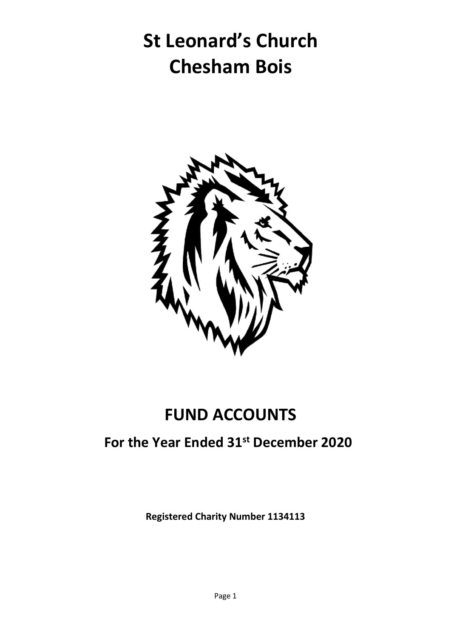## **St Leonard's Church Chesham Bois**



### **FUND ACCOUNTS**

#### **For the Year Ended 31st December 2020**

**Registered Charity Number 1134113**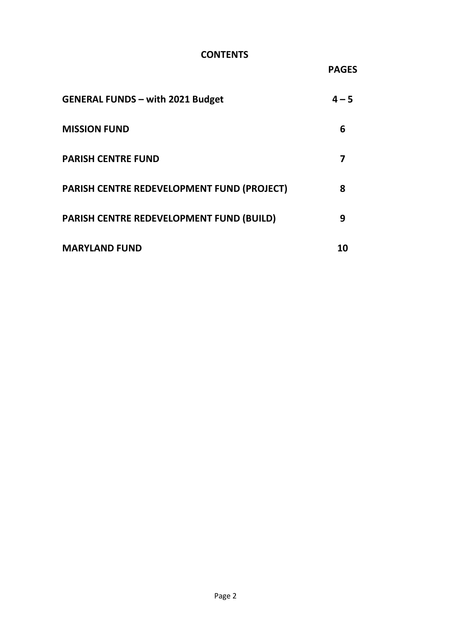#### **CONTENTS**

**PAGES**

| <b>GENERAL FUNDS - with 2021 Budget</b>           | $4 - 5$ |
|---------------------------------------------------|---------|
| <b>MISSION FUND</b>                               | 6       |
| <b>PARISH CENTRE FUND</b>                         |         |
| <b>PARISH CENTRE REDEVELOPMENT FUND (PROJECT)</b> | 8       |
| PARISH CENTRE REDEVELOPMENT FUND (BUILD)          | 9       |
| <b>MARYLAND FUND</b>                              | 10      |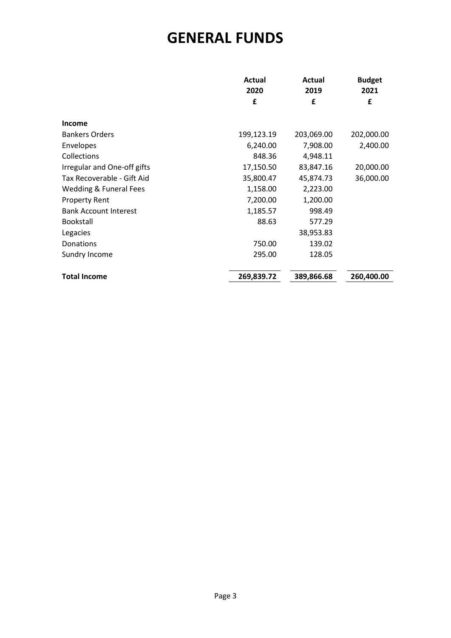#### **GENERAL FUNDS**

|                                                  | Actual<br>2020       | Actual<br>2019        | <b>Budget</b><br>2021 |
|--------------------------------------------------|----------------------|-----------------------|-----------------------|
|                                                  | £                    | £                     | £                     |
| <b>Income</b><br><b>Bankers Orders</b>           | 199,123.19           | 203,069.00            | 202,000.00            |
| Envelopes                                        | 6,240.00             | 7,908.00              | 2,400.00              |
| Collections<br>Irregular and One-off gifts       | 848.36<br>17,150.50  | 4,948.11<br>83,847.16 | 20,000.00             |
| Tax Recoverable - Gift Aid                       | 35,800.47            | 45,874.73             | 36,000.00             |
| Wedding & Funeral Fees<br><b>Property Rent</b>   | 1,158.00<br>7,200.00 | 2,223.00<br>1,200.00  |                       |
| <b>Bank Account Interest</b><br><b>Bookstall</b> | 1,185.57<br>88.63    | 998.49<br>577.29      |                       |
| Legacies                                         |                      | 38,953.83             |                       |
| Donations<br>Sundry Income                       | 750.00<br>295.00     | 139.02<br>128.05      |                       |
|                                                  |                      |                       |                       |
| <b>Total Income</b>                              | 269,839.72           | 389,866.68            | 260,400.00            |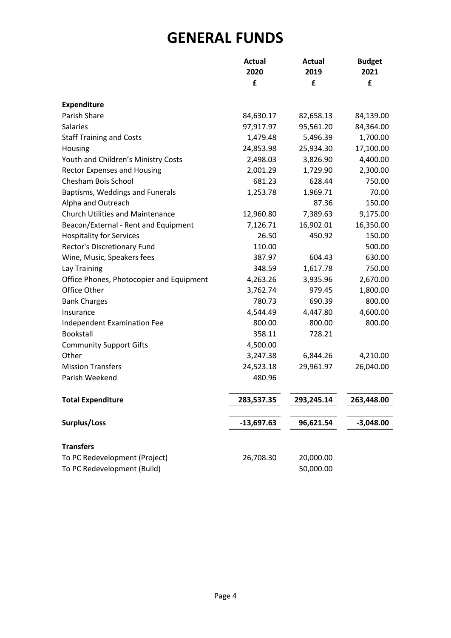#### **GENERAL FUNDS**

|                                          | <b>Actual</b><br>2020 | <b>Actual</b><br>2019 | <b>Budget</b><br>2021 |
|------------------------------------------|-----------------------|-----------------------|-----------------------|
|                                          | £                     | £                     | £                     |
|                                          |                       |                       |                       |
| <b>Expenditure</b>                       |                       |                       |                       |
| Parish Share                             | 84,630.17             | 82,658.13             | 84,139.00             |
| Salaries                                 | 97,917.97             | 95,561.20             | 84,364.00             |
| <b>Staff Training and Costs</b>          | 1,479.48              | 5,496.39              | 1,700.00              |
| Housing                                  | 24,853.98             | 25,934.30             | 17,100.00             |
| Youth and Children's Ministry Costs      | 2,498.03              | 3,826.90              | 4,400.00              |
| <b>Rector Expenses and Housing</b>       | 2,001.29              | 1,729.90              | 2,300.00              |
| Chesham Bois School                      | 681.23                | 628.44                | 750.00                |
| Baptisms, Weddings and Funerals          | 1,253.78              | 1,969.71              | 70.00                 |
| Alpha and Outreach                       |                       | 87.36                 | 150.00                |
| <b>Church Utilities and Maintenance</b>  | 12,960.80             | 7,389.63              | 9,175.00              |
| Beacon/External - Rent and Equipment     | 7,126.71              | 16,902.01             | 16,350.00             |
| <b>Hospitality for Services</b>          | 26.50                 | 450.92                | 150.00                |
| Rector's Discretionary Fund              | 110.00                |                       | 500.00                |
| Wine, Music, Speakers fees               | 387.97                | 604.43                | 630.00                |
| Lay Training                             | 348.59                | 1,617.78              | 750.00                |
| Office Phones, Photocopier and Equipment | 4,263.26              | 3,935.96              | 2,670.00              |
| Office Other                             | 3,762.74              | 979.45                | 1,800.00              |
| <b>Bank Charges</b>                      | 780.73                | 690.39                | 800.00                |
| Insurance                                | 4,544.49              | 4,447.80              | 4,600.00              |
| Independent Examination Fee              | 800.00                | 800.00                | 800.00                |
| Bookstall                                | 358.11                | 728.21                |                       |
| <b>Community Support Gifts</b>           | 4,500.00              |                       |                       |
| Other                                    | 3,247.38              | 6,844.26              | 4,210.00              |
| <b>Mission Transfers</b>                 | 24,523.18             | 29,961.97             | 26,040.00             |
| Parish Weekend                           | 480.96                |                       |                       |
| <b>Total Expenditure</b>                 | 283,537.35            | 293,245.14            | 263,448.00            |
| Surplus/Loss                             | $-13,697.63$          | 96,621.54             | $-3,048.00$           |
|                                          |                       |                       |                       |
| <b>Transfers</b>                         |                       |                       |                       |
| To PC Redevelopment (Project)            | 26,708.30             | 20,000.00             |                       |
| To PC Redevelopment (Build)              |                       | 50,000.00             |                       |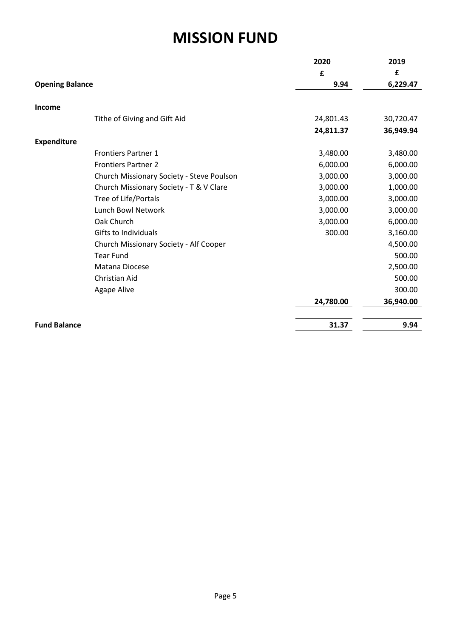#### **MISSION FUND**

|                                           | 2020<br>£ | 2019<br>£ |
|-------------------------------------------|-----------|-----------|
| <b>Opening Balance</b>                    | 9.94      | 6,229.47  |
| Income                                    |           |           |
| Tithe of Giving and Gift Aid              | 24,801.43 | 30,720.47 |
|                                           | 24,811.37 | 36,949.94 |
| <b>Expenditure</b>                        |           |           |
| <b>Frontiers Partner 1</b>                | 3,480.00  | 3,480.00  |
| <b>Frontiers Partner 2</b>                | 6,000.00  | 6,000.00  |
| Church Missionary Society - Steve Poulson | 3,000.00  | 3,000.00  |
| Church Missionary Society - T & V Clare   | 3,000.00  | 1,000.00  |
| Tree of Life/Portals                      | 3,000.00  | 3,000.00  |
| Lunch Bowl Network                        | 3,000.00  | 3,000.00  |
| Oak Church                                | 3,000.00  | 6,000.00  |
| Gifts to Individuals                      | 300.00    | 3,160.00  |
| Church Missionary Society - Alf Cooper    |           | 4,500.00  |
| <b>Tear Fund</b>                          |           | 500.00    |
| Matana Diocese                            |           | 2,500.00  |
| Christian Aid                             |           | 500.00    |
| Agape Alive                               |           | 300.00    |
|                                           | 24,780.00 | 36,940.00 |
| <b>Fund Balance</b>                       | 31.37     | 9.94      |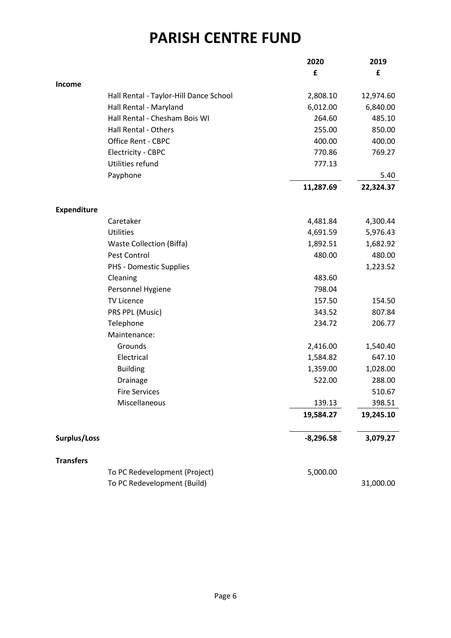#### **PARISH CENTRE FUND**

|                    |                                        | 2020        | 2019      |
|--------------------|----------------------------------------|-------------|-----------|
|                    |                                        | £           | £         |
| <b>Income</b>      |                                        |             |           |
|                    | Hall Rental - Taylor-Hill Dance School | 2,808.10    | 12,974.60 |
|                    | Hall Rental - Maryland                 | 6,012.00    | 6,840.00  |
|                    | Hall Rental - Chesham Bois WI          | 264.60      | 485.10    |
|                    | Hall Rental - Others                   | 255.00      | 850.00    |
|                    | <b>Office Rent - CBPC</b>              | 400.00      | 400.00    |
|                    | <b>Electricity - CBPC</b>              | 770.86      | 769.27    |
|                    | Utilities refund                       | 777.13      |           |
|                    | Payphone                               |             | 5.40      |
|                    |                                        | 11,287.69   | 22,324.37 |
| <b>Expenditure</b> |                                        |             |           |
|                    | Caretaker                              | 4,481.84    | 4,300.44  |
|                    | <b>Utilities</b>                       | 4,691.59    | 5,976.43  |
|                    | <b>Waste Collection (Biffa)</b>        | 1,892.51    | 1,682.92  |
|                    | Pest Control                           | 480.00      | 480.00    |
|                    | PHS - Domestic Supplies                |             | 1,223.52  |
|                    | Cleaning                               | 483.60      |           |
|                    | Personnel Hygiene                      | 798.04      |           |
|                    | <b>TV Licence</b>                      | 157.50      | 154.50    |
|                    | PRS PPL (Music)                        | 343.52      | 807.84    |
|                    | Telephone                              | 234.72      | 206.77    |
|                    | Maintenance:                           |             |           |
|                    | Grounds                                | 2,416.00    | 1,540.40  |
|                    | Electrical                             | 1,584.82    | 647.10    |
|                    | <b>Building</b>                        | 1,359.00    | 1,028.00  |
|                    | Drainage                               | 522.00      | 288.00    |
|                    | <b>Fire Services</b>                   |             | 510.67    |
|                    | Miscellaneous                          | 139.13      | 398.51    |
|                    |                                        | 19,584.27   | 19,245.10 |
| Surplus/Loss       |                                        | $-8,296.58$ | 3,079.27  |
|                    |                                        |             |           |
| <b>Transfers</b>   | To PC Redevelopment (Project)          | 5,000.00    |           |
|                    | To PC Redevelopment (Build)            |             | 31,000.00 |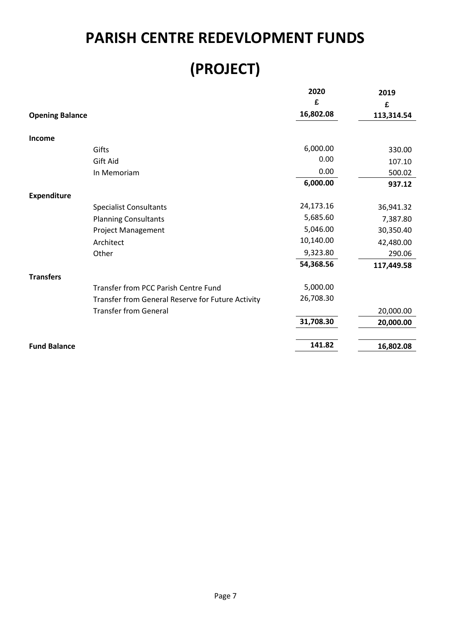#### **PARISH CENTRE REDEVLOPMENT FUNDS**

### **(PROJECT)**

|                        |                                                   | 2020      | 2019       |
|------------------------|---------------------------------------------------|-----------|------------|
|                        |                                                   | £         | £          |
| <b>Opening Balance</b> |                                                   | 16,802.08 | 113,314.54 |
| Income                 |                                                   |           |            |
|                        | Gifts                                             | 6,000.00  | 330.00     |
|                        | Gift Aid                                          | 0.00      | 107.10     |
|                        | In Memoriam                                       | 0.00      | 500.02     |
|                        |                                                   | 6,000.00  | 937.12     |
| <b>Expenditure</b>     |                                                   |           |            |
|                        | <b>Specialist Consultants</b>                     | 24,173.16 | 36,941.32  |
|                        | <b>Planning Consultants</b>                       | 5,685.60  | 7,387.80   |
|                        | Project Management                                | 5,046.00  | 30,350.40  |
|                        | Architect                                         | 10,140.00 | 42,480.00  |
|                        | Other                                             | 9,323.80  | 290.06     |
|                        |                                                   | 54,368.56 | 117,449.58 |
| <b>Transfers</b>       |                                                   |           |            |
|                        | Transfer from PCC Parish Centre Fund              | 5,000.00  |            |
|                        | Transfer from General Reserve for Future Activity | 26,708.30 |            |
|                        | <b>Transfer from General</b>                      |           | 20,000.00  |
|                        |                                                   | 31,708.30 | 20,000.00  |
|                        |                                                   |           |            |
| <b>Fund Balance</b>    |                                                   | 141.82    | 16,802.08  |
|                        |                                                   |           |            |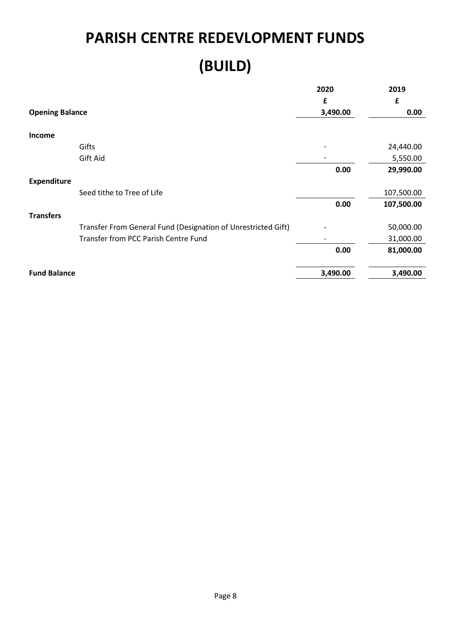# **PARISH CENTRE REDEVLOPMENT FUNDS (BUILD)**

|                                                               | 2020     | 2019       |
|---------------------------------------------------------------|----------|------------|
|                                                               | £        | £          |
| <b>Opening Balance</b>                                        | 3,490.00 | 0.00       |
| Income                                                        |          |            |
| Gifts                                                         |          | 24,440.00  |
| Gift Aid                                                      |          | 5,550.00   |
|                                                               | 0.00     | 29,990.00  |
| <b>Expenditure</b>                                            |          |            |
| Seed tithe to Tree of Life                                    |          | 107,500.00 |
|                                                               | 0.00     | 107,500.00 |
| <b>Transfers</b>                                              |          |            |
| Transfer From General Fund (Designation of Unrestricted Gift) |          | 50,000.00  |
| Transfer from PCC Parish Centre Fund                          |          | 31,000.00  |
|                                                               | 0.00     | 81,000.00  |
| <b>Fund Balance</b>                                           | 3,490.00 | 3,490.00   |